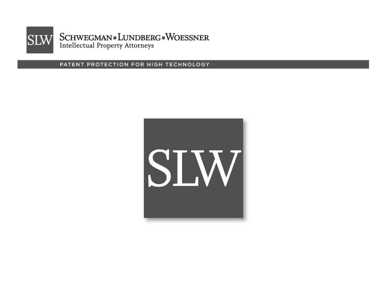

PATENT PROTECTION FOR HIGH TECHNOLOGY

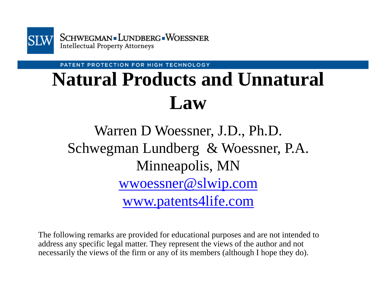

PATENT PROTECTION FOR HIGH TECHNOLOGY

# **Natural Products and Unnatural Law**

## Warren D Woessner, J.D., Ph.D. Schwegman Lundberg & Woessner, P.A. Minneapolis, MN wwoessner@slwip.com www.patents4life.com

The following remarks are provided for educational purposes and are not intended to address any specific legal matter. They represent the views of the author and not necessarily the views of the firm or any of its members (although I hope they do).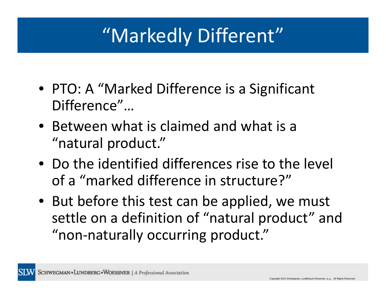# "Markedly Different"

- PTO: A "Marked Difference is <sup>a</sup> Significant Difference"…
- Between what is claimed and what is <sup>a</sup> "natural product."
- Do the identified differences rise to the level of a "marked difference in structure?"
- But before this test can be applied, we must settle on <sup>a</sup> definition of "natural product" and "non‐naturally occurring product."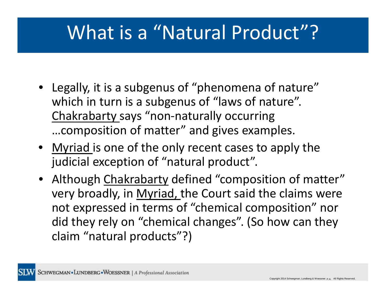# What is a "Natural Product"?

- Legally, it is <sup>a</sup> subgenus of "phenomena of nature" which in turn is <sup>a</sup> subgenus of "laws of nature". Chakrabarty says "non‐naturally occurring …composition of matter" and gives examples.
- Myriad is one of the only recent cases to apply the judicial exception of "natural product".
- Although Chakrabarty defined "composition of matter" very broadly, in Myriad, the Court said the claims were not expressed in terms of "chemical composition" nor did they rely on "chemical changes". (So how can they claim "natural products"?)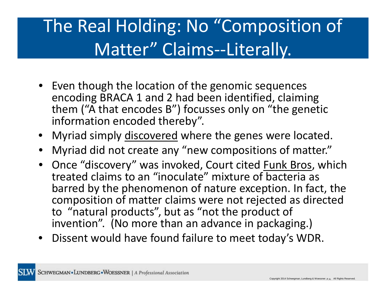# The Real Holding: No "Composition of Matter" Claims‐‐Literally.

- Even though the location of the genomic sequences encoding BRACA 1 and 2 had been identified, claiming them ("A that encodes B") focusses only on "the genetic information encoded thereby".
- Myriad simply discovered where the genes were located.
- Myriad did not create any "new compositions of matter."
- Once "discovery" was invoked, Court cited <u>Funk Bros</u>, which treated claims to an "inoculate" mixture of bacteria as barred by the phenomenon of nature exception. In fact, the composition of matter claims were not rejected as directed to "natural products", but as "not the product of invention". (No more than an advance in packaging.)
- Dissent would have found failure to meet today's WDR.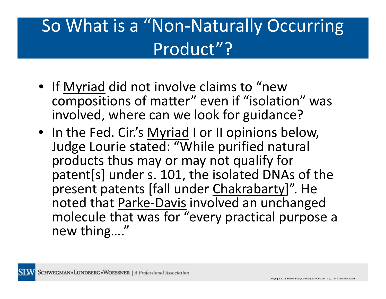# So What is <sup>a</sup> "Non‐Naturally Occurring Product"?

- If <u>Myriad</u> did not involve claims to "new compositions of matter" even if "isolation" was involved, where can we look for guidance?
- In the Fed. Cir.'s Myriad I or II opinions below, Judge Lourie stated: "While purified natural products thus may or may not qualify for patent[s] under s. 101, the isolated DNAs of the present patents [fall under Chakrabarty]". He noted that <u>Parke-Davis</u> involved an unchanged molecule that was for "every practical purpose <sup>a</sup> new thing…."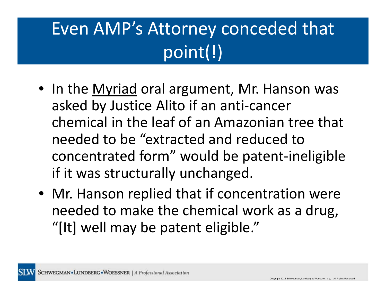# Even AMP's Attorney conceded that point(!)

- In the <u>Myriad</u> oral argument, Mr. Hanson was asked by Justice Alito if an anti‐cancer chemical in the leaf of an Amazonian tree that needed to be "extracted and reduced to concentrated form" would be patent‐ineligible if it was structurally unchanged.
- Mr. Hanson replied that if concentration were needed to make the chemical work as <sup>a</sup> drug, "[It] well may be patent eligible."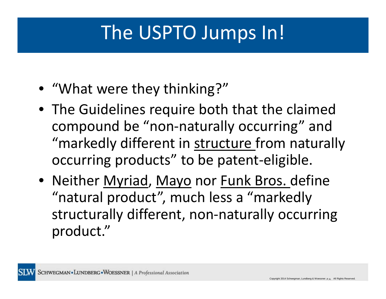# The USPTO Jumps In!

- "What were they thinking?"
- The Guidelines require both that the claimed compound be "non‐naturally occurring" and "markedly different in structure from naturally occurring products" to be patent‐eligible.
- Neither Myriad, Mayo nor Funk Bros. define "natural product", much less <sup>a</sup> "markedly structurally different, non‐naturally occurring product."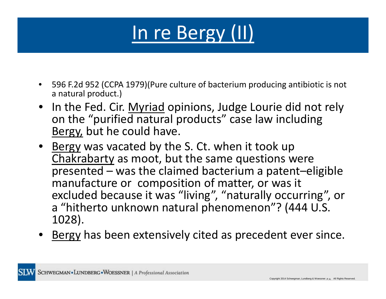# In re Bergy (II)

- 596 F.2d 952 (CCPA 1979)(Pure culture of bacterium producing antibiotic is not a natural product.)
- In the Fed. Cir. Myriad opinions, Judge Lourie did not rely on the "purified natural products" case law including Bergy, but he could have.
- Bergy was vacated by the S. Ct. when it took up Chakrabarty as moot, but the same questions were presented – was the claimed bacterium <sup>a</sup> patent–eligible manufacture or composition of matter, or was it excluded because it was "living", "naturally occurring", or a "hitherto unknown natural phenomenon"? (444 U.S. 1028).
- Bergy has been extensively cited as precedent ever since.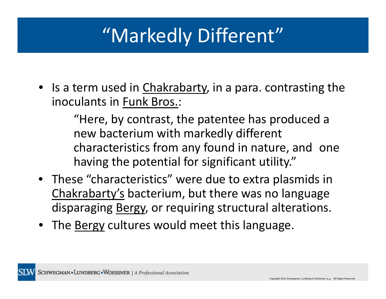# "Markedly Different"

• Is a term used in *Chakrabarty,* in a para. contrasting the inoculants in Funk Bros.:

> "Here, by contrast, the patentee has produced <sup>a</sup> new bacterium with markedly different characteristics from any found in nature, and one having the potential for significant utility."

- These "characteristics" were due to extra plasmids in Chakrabarty's bacterium, but there was no language disparaging Bergy, or requiring structural alterations.
- The <u>Bergy</u> cultures would meet this language.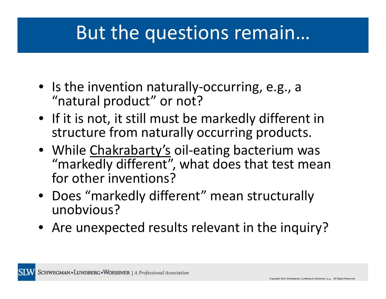## But the questions remain…

- Is the invention naturally‐occurring, e.g., <sup>a</sup> "natural product" or not?
- If it is not, it still must be markedly different in structure from naturally occurring products.
- While Chakrabarty's oil-eating bacterium was "markedly different", what does that test mean for other inventions?
- Does "markedly different" mean structurally unobvious?
- Are unexpected results relevant in the inquiry?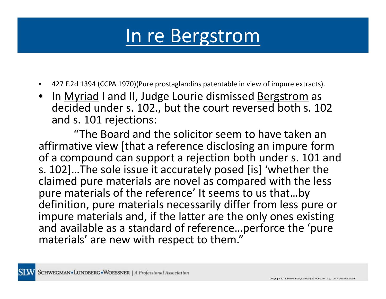# In re Bergstrom

- 427 F.2d 1394 (CCPA 1970)(Pure prostaglandins patentable in view of impure extracts).
- In <u>Myriad</u> I and II, Judge Lourie dismissed <u>Bergstrom</u> as decided under s. 102., but the court reversed both s. 102 and s. 101 rejections:

"The Board and the solicitor seem to have taken an affirmative view [that <sup>a</sup> reference disclosing an impure form of a compound can support <sup>a</sup> rejection both under s. 101 and s. 102]…The sole issue it accurately posed [is] 'whether the claimed pure materials are novel as compared with the less pure materials of the reference' It seems to us that…by definition, pure materials necessarily differ from less pure or impure materials and, if the latter are the only ones existing and available as <sup>a</sup> standard of reference…perforce the 'pure materials' are new with respect to them."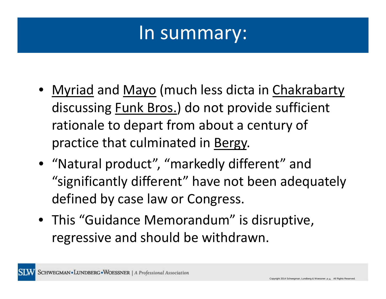## In summary:

- Myriad and Mayo (much less dicta in Chakrabarty discussing Funk Bros.) do not provide sufficient rationale to depart from about <sup>a</sup> century of practice that culminated in Bergy.
- "Natural product", "markedly different" and "significantly different" have not been adequately defined by case law or Congress.
- This "Guidance Memorandum" is disruptive, regressive and should be withdrawn.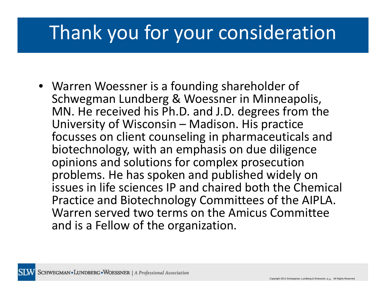# Thank you for your consideration

• Warren Woessner is <sup>a</sup> founding shareholder of Schwegman Lundberg & Woessner in Minneapolis, MN. He received his Ph.D. and J.D. degrees from the University of Wisconsin – Madison. His practice focusses on client counseling in pharmaceuticals and biotechnology, with an emphasis on due diligence opinions and solutions for complex prosecution problems. He has spoken and published widely on issues in life sciences IP and chaired both the Chemical Practice and Biotechnology Committees of the AIPLA. Warren served two terms on the Amicus Committee and is <sup>a</sup> Fellow of the organization.